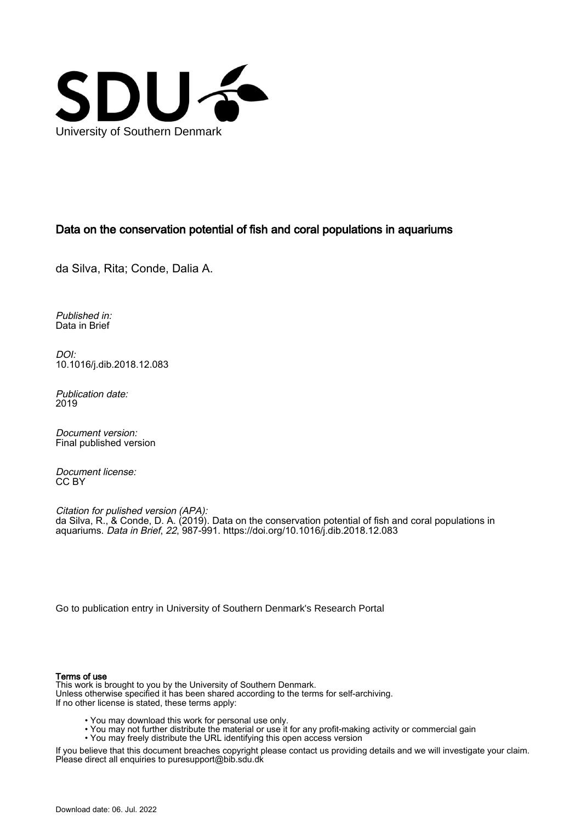

## Data on the conservation potential of fish and coral populations in aquariums

da Silva, Rita; Conde, Dalia A.

Published in: Data in Brief

DOI: [10.1016/j.dib.2018.12.083](https://doi.org/10.1016/j.dib.2018.12.083)

Publication date: 2019

Document version: Final published version

Document license: CC BY

Citation for pulished version (APA): da Silva, R., & Conde, D. A. (2019). Data on the conservation potential of fish and coral populations in aquariums. Data in Brief, 22, 987-991. <https://doi.org/10.1016/j.dib.2018.12.083>

[Go to publication entry in University of Southern Denmark's Research Portal](https://portal.findresearcher.sdu.dk/en/publications/751cdc18-9f95-4160-a9b9-00603e40d5b3)

## Terms of use

This work is brought to you by the University of Southern Denmark. Unless otherwise specified it has been shared according to the terms for self-archiving. If no other license is stated, these terms apply:

- You may download this work for personal use only.
- You may not further distribute the material or use it for any profit-making activity or commercial gain
- You may freely distribute the URL identifying this open access version

If you believe that this document breaches copyright please contact us providing details and we will investigate your claim. Please direct all enquiries to puresupport@bib.sdu.dk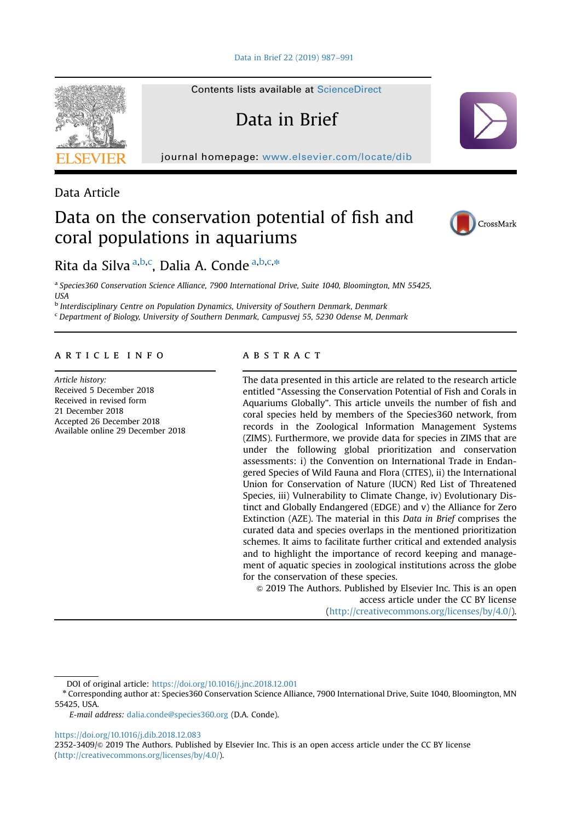Contents lists available at [ScienceDirect](www.sciencedirect.com/science/journal/23523409)

Data in Brief

journal homepage: <www.elsevier.com/locate/dib>



Data Article

# Data on the conservation potential of fish and coral populations in aquariums



## Rita da Silva <sup>a,b,c</sup>, Dalia A. Conde <sup>a,b,c,\*</sup>

a Species360 Conservation Science Alliance, 7900 International Drive, Suite 1040, Bloomington, MN 55425, **IISA** 

<sup>b</sup> Interdisciplinary Centre on Population Dynamics, University of Southern Denmark, Denmark

<sup>c</sup> Department of Biology, University of Southern Denmark, Campusvej 55, 5230 Odense M, Denmark

### article info

Article history: Received 5 December 2018 Received in revised form 21 December 2018 Accepted 26 December 2018 Available online 29 December 2018

#### **ABSTRACT**

The data presented in this article are related to the research article entitled "Assessing the Conservation Potential of Fish and Corals in Aquariums Globally". This article unveils the number of fish and coral species held by members of the Species360 network, from records in the Zoological Information Management Systems (ZIMS). Furthermore, we provide data for species in ZIMS that are under the following global prioritization and conservation assessments: i) the Convention on International Trade in Endangered Species of Wild Fauna and Flora (CITES), ii) the International Union for Conservation of Nature (IUCN) Red List of Threatened Species, iii) Vulnerability to Climate Change, iv) Evolutionary Distinct and Globally Endangered (EDGE) and v) the Alliance for Zero Extinction (AZE). The material in this Data in Brief comprises the curated data and species overlaps in the mentioned prioritization schemes. It aims to facilitate further critical and extended analysis and to highlight the importance of record keeping and management of aquatic species in zoological institutions across the globe for the conservation of these species.

 $\odot$  2019 The Authors. Published by Elsevier Inc. This is an open access article under the CC BY license (http://creativecommons.org/licenses/by/4.0/).

DOI of original article: [https://doi.org/10.1016/j.jnc.2018.12.001](http://dx.doi.org/10.1016/j.jnc.2018.12.001)

<https://doi.org/10.1016/j.dib.2018.12.083>

2352-3409/& 2019 The Authors. Published by Elsevier Inc. This is an open access article under the CC BY license (http://creativecommons.org/licenses/by/4.0/).

<sup>n</sup> Corresponding author at: Species360 Conservation Science Alliance, 7900 International Drive, Suite 1040, Bloomington, MN 55425, USA.

E-mail address: [dalia.conde@species360.org](mailto:dalia.conde@species360.org) (D.A. Conde).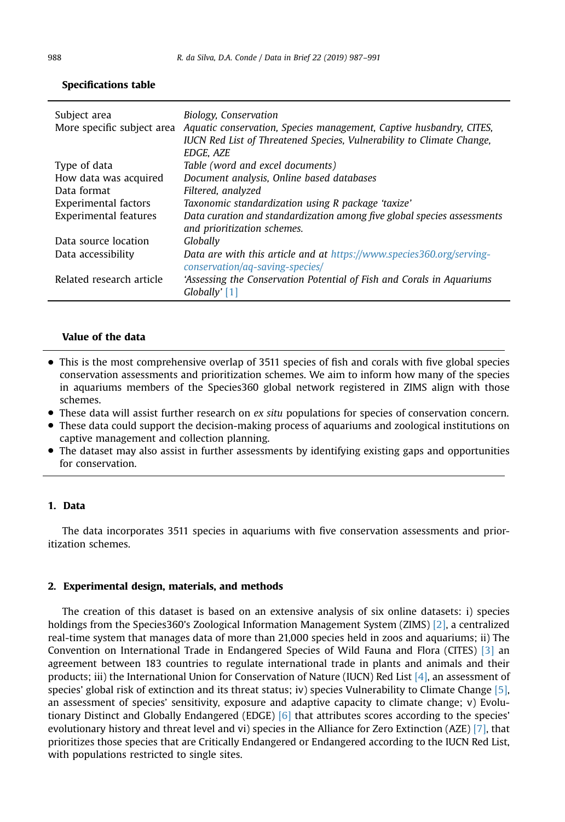| Subject area                 | Biology, Conservation<br>More specific subject area Aquatic conservation, Species management, Captive husbandry, CITES,<br>IUCN Red List of Threatened Species, Vulnerability to Climate Change,<br>EDGE, AZE |
|------------------------------|---------------------------------------------------------------------------------------------------------------------------------------------------------------------------------------------------------------|
| Type of data                 | Table (word and excel documents)                                                                                                                                                                              |
| How data was acquired        | Document analysis, Online based databases                                                                                                                                                                     |
| Data format                  | Filtered, analyzed                                                                                                                                                                                            |
| Experimental factors         | Taxonomic standardization using R package 'taxize'                                                                                                                                                            |
| <b>Experimental features</b> | Data curation and standardization among five global species assessments<br>and prioritization schemes.                                                                                                        |
| Data source location         | Globally                                                                                                                                                                                                      |
| Data accessibility           | Data are with this article and at https://www.species360.org/serving-<br>conservation/aq-saving-species/                                                                                                      |
| Related research article     | 'Assessing the Conservation Potential of Fish and Corals in Aquariums<br>Globally' [1]                                                                                                                        |

### Specifications table

## Value of the data

- This is the most comprehensive overlap of 3511 species of fish and corals with five global species conservation assessments and prioritization schemes. We aim to inform how many of the species in aquariums members of the Species360 global network registered in ZIMS align with those schemes.
- These data will assist further research on ex situ populations for species of conservation concern.
- These data could support the decision-making process of aquariums and zoological institutions on captive management and collection planning.
- The dataset may also assist in further assessments by identifying existing gaps and opportunities for conservation.

## 1. Data

The data incorporates 3511 species in aquariums with five conservation assessments and prioritization schemes.

#### 2. Experimental design, materials, and methods

The creation of this dataset is based on an extensive analysis of six online datasets: i) species holdings from the Species360's Zoological Information Management System (ZIMS) [\[2\]](#page-5-0), a centralized real-time system that manages data of more than 21,000 species held in zoos and aquariums; ii) The Convention on International Trade in Endangered Species of Wild Fauna and Flora (CITES) [\[3\]](#page-5-0) an agreement between 183 countries to regulate international trade in plants and animals and their products; iii) the International Union for Conservation of Nature (IUCN) Red List [\[4\]](#page-5-0), an assessment of species' global risk of extinction and its threat status; iv) species Vulnerability to Climate Change [\[5\]](#page-5-0), an assessment of species' sensitivity, exposure and adaptive capacity to climate change; v) Evolutionary Distinct and Globally Endangered (EDGE) [\[6\]](#page-5-0) that attributes scores according to the species' evolutionary history and threat level and vi) species in the Alliance for Zero Extinction (AZE) [\[7\],](#page-5-0) that prioritizes those species that are Critically Endangered or Endangered according to the IUCN Red List, with populations restricted to single sites.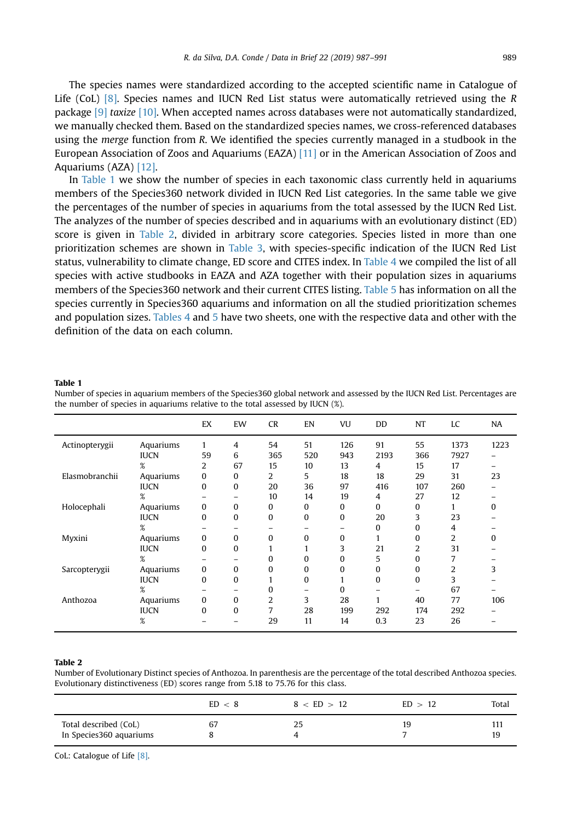The species names were standardized according to the accepted scientific name in Catalogue of Life (CoL)  $[8]$ . Species names and IUCN Red List status were automatically retrieved using the R package [\[9\]](#page-5-0) taxize [\[10\].](#page-5-0) When accepted names across databases were not automatically standardized, we manually checked them. Based on the standardized species names, we cross-referenced databases using the *merge* function from R. We identified the species currently managed in a studbook in the European Association of Zoos and Aquariums (EAZA) [\[11\]](#page-5-0) or in the American Association of Zoos and Aquariums (AZA) [\[12\].](#page-5-0)

In Table 1 we show the number of species in each taxonomic class currently held in aquariums members of the Species360 network divided in IUCN Red List categories. In the same table we give the percentages of the number of species in aquariums from the total assessed by the IUCN Red List. The analyzes of the number of species described and in aquariums with an evolutionary distinct (ED) score is given in Table 2, divided in arbitrary score categories. Species listed in more than one prioritization schemes are shown in [Table 3,](#page-4-0) with species-specific indication of the IUCN Red List status, vulnerability to climate change, ED score and CITES index. In [Table 4](#page-4-0) we compiled the list of all species with active studbooks in EAZA and AZA together with their population sizes in aquariums members of the Species360 network and their current CITES listing. [Table 5](#page-4-0) has information on all the species currently in Species360 aquariums and information on all the studied prioritization schemes and population sizes. [Tables 4](#page-4-0) and [5](#page-4-0) have two sheets, one with the respective data and other with the definition of the data on each column.

#### Table 1

Number of species in aquarium members of the Species360 global network and assessed by the IUCN Red List. Percentages are the number of species in aquariums relative to the total assessed by IUCN (%).

|                |             | EX           | EW              | <b>CR</b>      | EN       | VU       | DD       | NT       | LC             | <b>NA</b> |
|----------------|-------------|--------------|-----------------|----------------|----------|----------|----------|----------|----------------|-----------|
| Actinopterygii | Aquariums   | 1            | 4               | 54             | 51       | 126      | 91       | 55       | 1373           | 1223      |
|                | <b>IUCN</b> | 59           | 6               | 365            | 520      | 943      | 2193     | 366      | 7927           |           |
|                | %           | 2            | 67              | 15             | 10       | 13       | 4        | 15       | 17             |           |
| Elasmobranchii | Aquariums   | 0            | 0               | 2              | 5        | 18       | 18       | 29       | 31             | 23        |
|                | <b>IUCN</b> | $\Omega$     | 0               | 20             | 36       | 97       | 416      | 107      | 260            |           |
|                | %           |              | $\qquad \qquad$ | 10             | 14       | 19       | 4        | 27       | 12             |           |
| Holocephali    | Aquariums   | $\mathbf{0}$ | 0               | $\bf{0}$       | 0        | 0        | $\bf{0}$ | 0        |                | $\Omega$  |
|                | <b>IUCN</b> | 0            | 0               | 0              | 0        | 0        | 20       | 3        | 23             |           |
|                | ℅           |              | -               |                |          | -        | 0        | $\Omega$ | 4              |           |
| Myxini         | Aquariums   | 0            | 0               | $\Omega$       | $\Omega$ | $\bf{0}$ | 1        | $\Omega$ | $\overline{2}$ | O         |
|                | <b>IUCN</b> | $\bf{0}$     | 0               | 1              | 1        | 3        | 21       | 2        | 31             |           |
|                | %           |              | $\qquad \qquad$ | $\Omega$       | 0        | $\Omega$ | 5        | $\Omega$ | 7              |           |
| Sarcopterygii  | Aquariums   | 0            | 0               | 0              | 0        | $\Omega$ | 0        | $\Omega$ | $\overline{2}$ | 3         |
|                | <b>IUCN</b> | $\Omega$     | 0               |                | 0        |          | 0        | 0        | 3              |           |
|                | %           |              |                 | $\Omega$       | -        | $\Omega$ |          |          | 67             |           |
| Anthozoa       | Aquariums   | 0            | 0               | 2              | 3        | 28       | 1        | 40       | 77             | 106       |
|                | <b>IUCN</b> | $\Omega$     | $\Omega$        | $\overline{7}$ | 28       | 199      | 292      | 174      | 292            |           |
|                | %           |              |                 | 29             | 11       | 14       | 0.3      | 23       | 26             |           |

#### Table 2

Number of Evolutionary Distinct species of Anthozoa. In parenthesis are the percentage of the total described Anthozoa species. Evolutionary distinctiveness (ED) scores range from 5.18 to 75.76 for this class.

|                                                  | ED < 8 | 8 < ED > 12 | ED > 12 | Total |
|--------------------------------------------------|--------|-------------|---------|-------|
| Total described (CoL)<br>In Species360 aquariums | 67     | 25          | 19      | 19    |

CoL: Catalogue of Life [\[8\]](#page-5-0).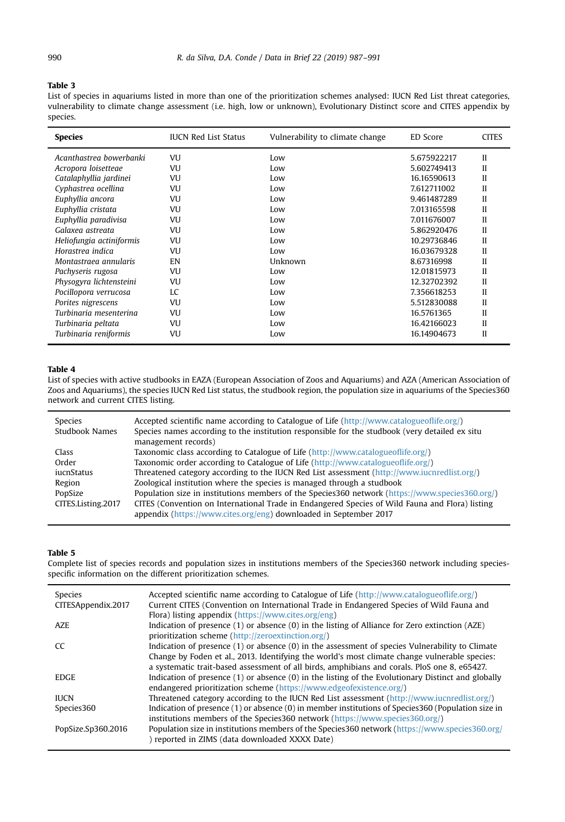#### <span id="page-4-0"></span>Table 3

List of species in aquariums listed in more than one of the prioritization schemes analysed: IUCN Red List threat categories, vulnerability to climate change assessment (i.e. high, low or unknown), Evolutionary Distinct score and CITES appendix by species.

| <b>Species</b>           | <b>IUCN Red List Status</b> | Vulnerability to climate change | ED Score    | <b>CITES</b> |
|--------------------------|-----------------------------|---------------------------------|-------------|--------------|
| Acanthastrea bowerbanki  | VU                          | Low                             | 5.675922217 | II           |
| Acropora loisetteae      | VU                          | Low                             | 5.602749413 | Н            |
| Catalaphyllia jardinei   | VU                          | Low                             | 16.16590613 | $\mathbf{I}$ |
| Cyphastrea ocellina      | VU                          | Low                             | 7.612711002 | Н            |
| Euphyllia ancora         | VU                          | Low                             | 9.461487289 | $\mathbf{I}$ |
| Euphyllia cristata       | VU                          | Low                             | 7.013165598 | Н            |
| Euphyllia paradivisa     | VU                          | Low                             | 7.011676007 | Н            |
| Galaxea astreata         | VU                          | Low                             | 5.862920476 | $\mathbf{I}$ |
| Heliofungia actiniformis | VU                          | Low                             | 10.29736846 | $\mathbf{I}$ |
| Horastrea indica         | VU                          | Low                             | 16.03679328 | $\mathbf{I}$ |
| Montastraea annularis    | EN                          | Unknown                         | 8.67316998  | Н            |
| Pachyseris rugosa        | VU                          | Low                             | 12.01815973 | Н            |
| Physogyra lichtensteini  | VU                          | Low                             | 12.32702392 | Н            |
| Pocillopora verrucosa    | LC                          | Low                             | 7.356618253 | $\mathbf{I}$ |
| Porites nigrescens       | <b>VU</b>                   | Low                             | 5.512830088 | Н            |
| Turbinaria mesenterina   | VU                          | Low                             | 16.5761365  | Н            |
| Turbinaria peltata       | VU                          | Low                             | 16.42166023 | Н            |
| Turbinaria reniformis    | VU                          | Low                             | 16.14904673 | П            |

#### Table 4

List of species with active studbooks in EAZA (European Association of Zoos and Aquariums) and AZA (American Association of Zoos and Aquariums), the species IUCN Red List status, the studbook region, the population size in aquariums of the Species360 network and current CITES listing.

| Species<br>Studbook Names | Accepted scientific name according to Catalogue of Life (http://www.catalogueoflife.org/)<br>Species names according to the institution responsible for the studbook (very detailed ex situ<br>management records) |
|---------------------------|--------------------------------------------------------------------------------------------------------------------------------------------------------------------------------------------------------------------|
| Class                     | Taxonomic class according to Catalogue of Life $\frac{http://www.catalogueoflife.org/)}{}$                                                                                                                         |
| Order                     | Taxonomic order according to Catalogue of Life (http://www.catalogueoflife.org/)                                                                                                                                   |
| iucnStatus                | Threatened category according to the IUCN Red List assessment (http://www.iucnredlist.org/)                                                                                                                        |
| Region                    | Zoological institution where the species is managed through a studbook                                                                                                                                             |
| PopSize                   | Population size in institutions members of the Species 360 network (https://www.species 360.org/)                                                                                                                  |
| CITES.Listing.2017        | CITES (Convention on International Trade in Endangered Species of Wild Fauna and Flora) listing                                                                                                                    |
|                           | appendix (https://www.cites.org/eng) downloaded in September 2017                                                                                                                                                  |

#### Table 5

Complete list of species records and population sizes in institutions members of the Species360 network including speciesspecific information on the different prioritization schemes.

| Species<br>CITESAppendix,2017 | Accepted scientific name according to Catalogue of Life $\frac{http://www.catalogueoffife.org/)}$<br>Current CITES (Convention on International Trade in Endangered Species of Wild Fauna and |
|-------------------------------|-----------------------------------------------------------------------------------------------------------------------------------------------------------------------------------------------|
|                               | Flora) listing appendix (https://www.cites.org/eng)                                                                                                                                           |
| AZE                           | Indication of presence $(1)$ or absence $(0)$ in the listing of Alliance for Zero extinction $(AZE)$                                                                                          |
|                               | prioritization scheme (http://zeroextinction.org/)                                                                                                                                            |
| <sub>CC</sub>                 | Indication of presence $(1)$ or absence $(0)$ in the assessment of species Vulnerability to Climate                                                                                           |
|                               | Change by Foden et al., 2013. Identifying the world's most climate change vulnerable species:                                                                                                 |
|                               | a systematic trait-based assessment of all birds, amphibians and corals. PloS one 8, e65427.                                                                                                  |
| <b>EDGE</b>                   | Indication of presence $(1)$ or absence $(0)$ in the listing of the Evolutionary Distinct and globally                                                                                        |
|                               | endangered prioritization scheme (https://www.edgeofexistence.org/)                                                                                                                           |
| <b>IUCN</b>                   | Threatened category according to the IUCN Red List assessment $\frac{http://www.iucnredlist.org/)}$                                                                                           |
| Species360                    | Indication of presence (1) or absence (0) in member institutions of Species 360 (Population size in                                                                                           |
|                               | institutions members of the Species360 network (https://www.species360.org/)                                                                                                                  |
| PopSize,Sp360,2016            | Population size in institutions members of the Species 360 network (https://www.species 360.org/                                                                                              |
|                               | ) reported in ZIMS (data downloaded XXXX Date)                                                                                                                                                |
|                               |                                                                                                                                                                                               |